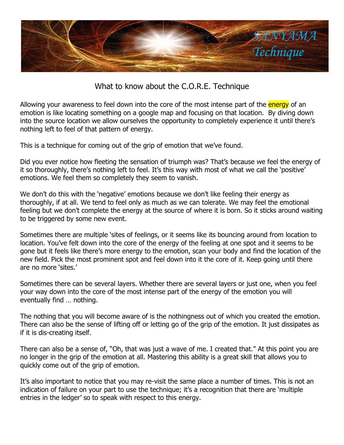

What to know about the C.O.R.E. Technique

Allowing your awareness to feel down into the core of the most intense part of the energy of an emotion is like locating something on a google map and focusing on that location. By diving down into the source location we allow ourselves the opportunity to completely experience it until there's nothing left to feel of that pattern of energy.

This is a technique for coming out of the grip of emotion that we've found.

Did you ever notice how fleeting the sensation of triumph was? That's because we feel the energy of it so thoroughly, there's nothing left to feel. It's this way with most of what we call the 'positive' emotions. We feel them so completely they seem to vanish.

We don't do this with the 'negative' emotions because we don't like feeling their energy as thoroughly, if at all. We tend to feel only as much as we can tolerate. We may feel the emotional feeling but we don't complete the energy at the source of where it is born. So it sticks around waiting to be triggered by some new event.

Sometimes there are multiple 'sites of feelings, or it seems like its bouncing around from location to location. You've felt down into the core of the energy of the feeling at one spot and it seems to be gone but it feels like there's more energy to the emotion, scan your body and find the location of the new field. Pick the most prominent spot and feel down into it the core of it. Keep going until there are no more 'sites.'

Sometimes there can be several layers. Whether there are several layers or just one, when you feel your way down into the core of the most intense part of the energy of the emotion you will eventually find … nothing.

The nothing that you will become aware of is the nothingness out of which you created the emotion. There can also be the sense of lifting off or letting go of the grip of the emotion. It just dissipates as if it is dis-creating itself.

There can also be a sense of, "Oh, that was just a wave of me. I created that." At this point you are no longer in the grip of the emotion at all. Mastering this ability is a great skill that allows you to quickly come out of the grip of emotion.

It's also important to notice that you may re-visit the same place a number of times. This is not an indication of failure on your part to use the technique; it's a recognition that there are 'multiple entries in the ledger' so to speak with respect to this energy.